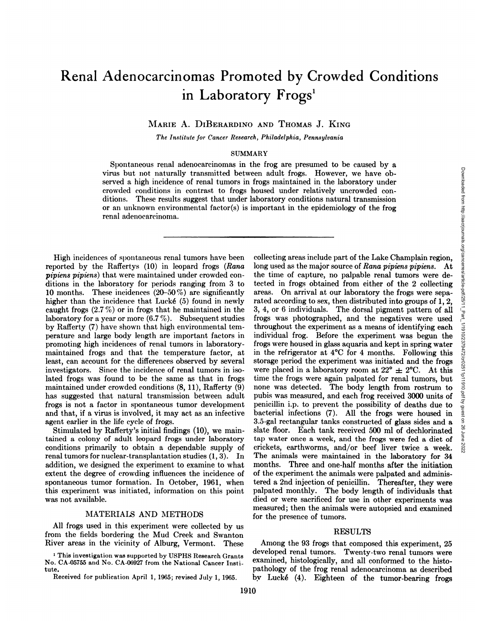# **Renal Adenocarcinomas Promoted by Crowded Conditions in Laboratory Frogs'**

MARIE A. DIBERARDINO AND THOMAS J. KING

*The Institute for Cancer Research, Philadelphia, Pennsylvania*

#### SUMMARY

Spontaneous renal adenocarcinomas in the frog are presumed to be caused by a virus but not naturally transmitted between adult frogs. However, we have ob served a high incidence of renal tumors in frogs maintained in the laboratory under crowded conditions in contrast to frogs housed under relatively uncrowded con ditions. These results suggest that under laboratory conditions natural transmission or an unknown environmental factor(s) is important in the epidemiology of the frog renal adenocarcinoma.

High incidences of spontaneous renal tumors have been reported by the Raffertys (10) in leopard frogs (Rana *pipiens pipiens) that were maintained under crowded con* ditions in the laboratory for periods ranging from 3 to 10 months. These incidences (20—50%) are significantly higher than the incidence that Lucké (5) found in newly caught frogs (2.7 %) or in frogs that he maintained in the laboratory for a year or more (6.7 %). Subsequent studies by Rafferty (7) have shown that high environmental tem perature and large body length are important factors in promoting high incidences of renal tumors in laboratory maintained frogs and that the temperature factor, at least, can account for the differences observed by several investigators. Since the incidence of renal tumors in iso lated frogs was found to be the same as that in frogs maintained under crowded conditions (8, 11), Rafferty (9) has suggested that natural transmission between adult frogs is not a factor in spontaneous tumor development and that, if a virus is involved, it may act as an infective agent earlier in the life cycle of frogs.

Stimulated by Rafferty's initial findings (10), we main tamed a colony of adult leopard frogs under laboratory conditions primarily to obtain a dependable supply of renal tumors for nuclear-transplantation studies (1, 3). In addition, we designed the experiment to examine to what extent the degree of crowding influences the incidence of spontaneous tumor formation. In October, 1961, when this experiment was initiated, information on this point was not available.

## MATERIALS AND METHODS

All frogs used in this experiment were collected by us from the fields bordering the Mud Creek and Swanton River areas in the vicinity of Alburg, Vermont. These

**1 This investigation was supported by USPHS Research Grants** No. CA-05755 and No. CA-06927 from the National Cancer Insti tute.

Received for publication April 1, 1965; revised July 1, 1965.

considerable in the laboratory under the position of the conduction of the from the single operator of our conductions at the major and the spin and above and above and above and above and a single collecting areas includ long used as the major source of Rana pipiens pipiens. At the time of capture, no palpable renal tumors were de tected in frogs obtained from either of the 2 collecting areas. On arrival at our laboratory the frogs were sepa rated according to sex, then distributed into groups of 1, 2, 3, 4, or 6 individuals. The dorsal pigment pattern of all frogs was photographed, and the negatives were used throughout the experiment as a means of identifying each individual frog. Before the experiment was begun the frogs were housed in glass aquaria and kept in spring water **in the refrigerator at 4°C for 4 months. Following this** storage period the experiment was initiated and the frogs were placed in a laboratory room at  $22^{\circ} \pm 2^{\circ}C$ . At this **time the frogs were again palpated for renal tumors, but** none was detected. The body length from rostrum to pubis was measured, and each frog received 3000 units of penicillin i.p. to prevent the possibility of deaths due to bacterial infections (7). All the frogs were housed in 3.5-gal rectangular tanks constructed of glass sides and a slate floor. Each tank received 500 ml of dechlorinated tap water once a week, and the frogs were fed a diet of tap water once a week, and the frogs were fed a diet of crickets, earthworms, and/or beef liver twice a week. The animals were maintained in the laboratory for 34 months. Three and one-half months after the initiation of the experiment the animals were palpated and adminis tered a 2nd injection of penicillin. Thereafter, they were palpated monthly. The body length of individuals that died or were sacrificed for use in other experiments was measured; then the animals were autopsied and examined for the presence of tumors.

#### RESULTS

Among the 93 frogs that composed this experiment, 25 developed renal tumors. Twenty-two renal tumors were examined, histologically, and all conformed to the histo pathology of the frog renal adenocarcinoma as described by Lucké (4). Eighteen of the tumor-bearing frogs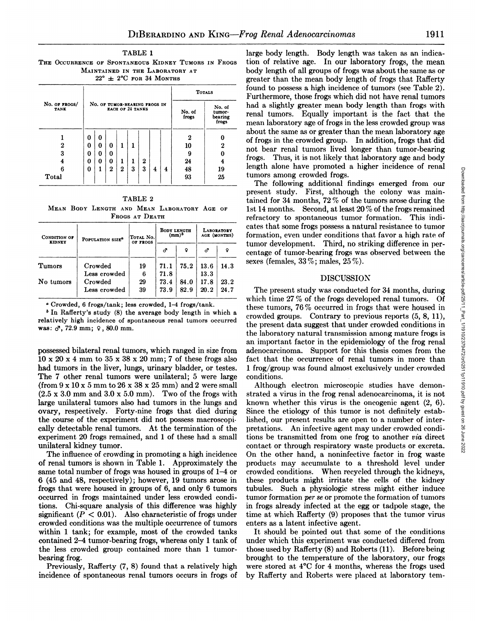**TABLE 1 THE OCCURRENCE OF SPONTANEOUS KIDNEY TUMORS IN FROGS** MAINTAINED IN THE LABORATORY AT  $22^{\circ}$   $\pm$  2°C for 34 Months

|                              |   |   |                               |                         |                 |                                      |   |   | <b>TOTALS</b> |    |  |
|------------------------------|---|---|-------------------------------|-------------------------|-----------------|--------------------------------------|---|---|---------------|----|--|
| No. OF FROGS/<br><b>TANK</b> |   |   | NO. OF TUMOR-BEARING FROGS IN | <b>EACH OF 24 TANKS</b> | No. of<br>frogs | No. of<br>tumor-<br>bearing<br>frogs |   |   |               |    |  |
|                              | 0 | 0 |                               |                         |                 |                                      |   |   | 2             |    |  |
| 2                            | 0 | 0 | 0                             |                         |                 |                                      |   |   | 10            | 2  |  |
| 3                            | 0 | 0 | 0                             |                         |                 |                                      |   |   | 9             |    |  |
| 4                            | 0 | 0 | 0                             |                         |                 | $\bf{2}$                             |   |   | 24            |    |  |
|                              | 0 |   | $\bf{2}$                      | $\boldsymbol{2}$        | 3               | 3                                    | 4 | 4 | 48            | 19 |  |
| Total                        |   |   |                               |                         |                 |                                      |   |   | 93            | 25 |  |

TABLE 2 **MEAN BODY LENGTH AND MEAN LABORATORY AGE OF**  $F_{ROGS}$  **AT**  $D_{EATH}$ 

| CONDITION OF<br><b>KIDNEY</b> | POPULATION SIZE <sup>a</sup> | TOTAL No.<br>OF FROGS |      | <b>BODY LENGTH</b><br>$(mm)^b$ | <b>LABORATORY</b><br>AGE (MONTHS) |      |  |
|-------------------------------|------------------------------|-----------------------|------|--------------------------------|-----------------------------------|------|--|
|                               |                              |                       | ď    | Q                              | ಕ                                 | Q    |  |
| Tumors                        | Crowded                      | 19                    | 71.1 | 75.2                           | 13.6                              | 14.3 |  |
|                               | Less crowded                 | 6                     | 71.8 |                                | 13.3                              |      |  |
| No tumors                     | Crowded                      | 29                    | 73.4 | 84.0                           | 17.8                              | 23.2 |  |
|                               | Less crowded                 | 39                    | 73.9 | 82.9                           | 20.2                              | 24.7 |  |
|                               |                              |                       |      |                                |                                   |      |  |

**C Crowded, 6 frogs/tank; less crowded, 1—4 frogs/tank.**

*b In Rafferty's study (8) the average body length in which a* relatively high incidence of spontaneous renal tumors occurred was:  $\sigma$ , 72.9 mm;  $9$ , 80.0 mm.

possessed bilateral renal tumors, which ranged in size from  $10 \times 20 \times 4$  mm to  $35 \times 38 \times 20$  mm; 7 of these frogs also had tumors in the liver, lungs, urinary bladder, or testes. The 7 other renal tumors were unilateral; 5 were large (from  $9 \times 10 \times 5$  mm to  $26 \times 38 \times 25$  mm) and 2 were small  $(2.5 \times 3.0 \text{ mm and } 3.0 \times 5.0 \text{ mm})$ . Two of the frogs with large unilateral tumors also had tumors in the lungs and ovary, respectively. Forty-nine frogs that died during the course of the experiment did not possess macroscopi cally detectable renal tumors. At the termination of the experiment 20 frogs remained, and 1 of these had a small unilateral kidney tumor.

The influence of crowding in promoting a high incidence of renal tumors is shown in Table 1. Approximately the same total number of frogs was housed in groups of 1—4or 6 (45 and 48, respectively) ; however, 19 tumors arose in frogs that were housed in groups of 6, and only 6 tumors occurred in frogs maintained under less crowded condi tions. Chi-square analysis of this difference was highly significant  $(P < 0.01)$ . Also characteristic of frogs under crowded conditions was the multiple occurrence of tumors within 1 tank; for example, most of the crowded tanks contained 2–4 tumor-bearing frogs, whereas only 1 tank of the less crowded group contained more than 1 tumor bearing frog.

Previously, Rafferty (7, 8) found that a relatively high

 $\frac{2}{2}$  not bear renal tumors lived longer than tumor-bearing <sup>4</sup><br><sup>4</sup> length alone have promoted a higher incidence of renal large body length. Body length was taken as an indica tion of relative age. In our laboratory frogs, the mean body length of all groups of frogs was about the same as or greater than the mean body length of frogs that Rafferty found to possess a high incidence of tumors (see Table 2). Furthermore, those frogs which did not have renal tumors had a slightly greater mean body length than frogs with renal tumors. Equally important is the fact that the mean laboratory age of frogs in the less crowded group was about the same as or greater than the mean laboratory age of frogs in the crowded group. In addition, frogs that did frogs. Thus, it is not likely that laboratory age and body **tumors among crowded frogs.**

present study. First, although the colony was main tained for 34 months,  $72\%$  of the tumors arose during the 1st 14 months. Second, at least  $20\%$  of the frogs remained refractory to spontaneous tumor formation. This indicates that some frogs possess a natural resistance to tumor formation, even under conditions that favor a high rate of tumor development. Third, no striking difference in per centage of tumor-bearing frogs was observed between the sexes (females,  $33\%$ ; males,  $25\%$ ).

## DISCUSSION

most may produce a matter metallic of reliant<br>mors among crowded from our mors among crowded from our mors among diditional findings emerged from our more seen tudy. First, although the colony was main-<br>ined for 34 months The present study was conducted for 34 months, during which time  $27\%$  of the frogs developed renal tumors. Of these tumors, 76 % occurred in frogs that were housed in crowded groups. Contrary to previous reports (5, 8, 11), the present data suggest that under crowded conditions in the laboratory natural transmission among mature frogs is an important factor in the epidemiology of the frog renal adenocarcinoma. Support for this thesis comes from the fact that the occurrence of renal tumors in more than 1 frog/group was found almost exclusively under crowded conditions.

Although electron microscopic studies have demon strated a virus in the frog renal adenocarcinoma, it is not known whether this virus is the oncogenic agent (2, 6). Since the etiology of this tumor is not definitely estab lished, our present results are open to a number of inter pretations. An infective agent may under crowded condi tions be transmitted from one frog to another via direct **contact or through respiratory waste products or excreta.** On the other hand, a noninfective factor in frog waste products may accumulate to a threshold level under crowded conditions. When recycled through the kidneys, these products might irritate the cells of the kidney tubules. Such a physiologic stress might either induce tumor formation per se or promote the formation of tumors **in frogs already infected at the egg or tadpole stage, the** time at which Rafferty (9) proposes that the tumor virus **enters as a latent infective agent.** Total  $\begin{vmatrix} 1 & 0 \\ 0 & 1 \end{vmatrix} = \begin{vmatrix} 2 & 0 \\ 0 & 1 \end{vmatrix} + \begin{vmatrix} 4 & 0 \\ 0 & 2 \end{vmatrix}$ <br>
Max Bos Lavaccear And or Shift in education of Download from https://about the education in the following term<br>
Max Bos Lavaccear And or Shi

It should be pointed out that some of the conditions under which this experiment was conducted differed from those used by Rafferty (8) and Roberts (11). Before being brought to the temperature of the laboratory, our frogs were stored at 4°C for 4 months, whereas the frogs used by Rafferty and Roberts were placed at laboratory tern